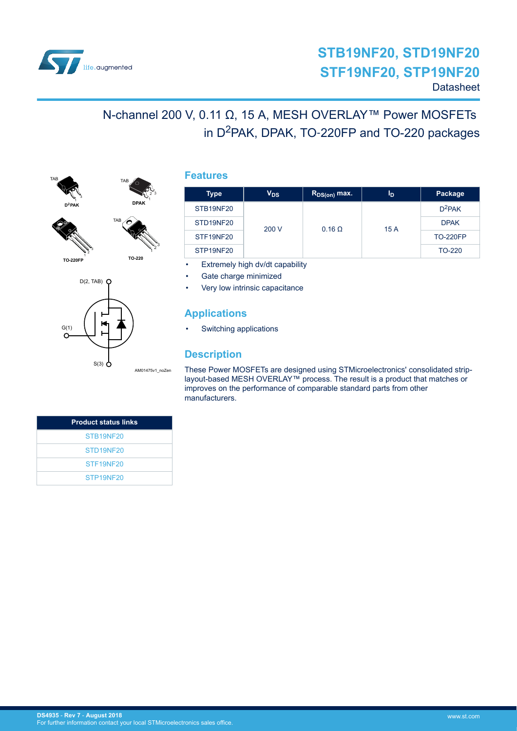

# N-channel 200 V, 0.11 Ω, 15 A, MESH OVERLAY™ Power MOSFETs in D<sup>2</sup>PAK, DPAK, TO-220FP and TO-220 packages



**TO-220FP**

1 2 3



TAB

|      | $D(2, TAB)$ $Q$ |                 |
|------|-----------------|-----------------|
| G(1) | $S(3)$ $\sigma$ | AM01475v1 noZen |
|      |                 |                 |

## **Features**

| Type                  | V <sub>DS</sub> | $R_{DS(on)}$ max. | I <sub>D</sub> | Package         |
|-----------------------|-----------------|-------------------|----------------|-----------------|
| STB19NF20             |                 |                   | 15 A           | $D^2$ PAK       |
| STD <sub>19NF20</sub> | 200 V           | $0.16 \Omega$     |                | <b>DPAK</b>     |
| STF19NF20             |                 |                   |                | <b>TO-220FP</b> |
| STP19NF20             |                 |                   |                | TO-220          |

Extremely high dv/dt capability

Gate charge minimized

Very low intrinsic capacitance

## **Applications**

• Switching applications

## **Description**

These Power MOSFETs are designed using STMicroelectronics' consolidated striplayout-based MESH OVERLAY™ process. The result is a product that matches or improves on the performance of comparable standard parts from other manufacturers.

| <b>Product status links</b> |
|-----------------------------|
| STB19NF20                   |
| STD <sub>19NF20</sub>       |
| STF <sub>19NF20</sub>       |
| STP <sub>19NF20</sub>       |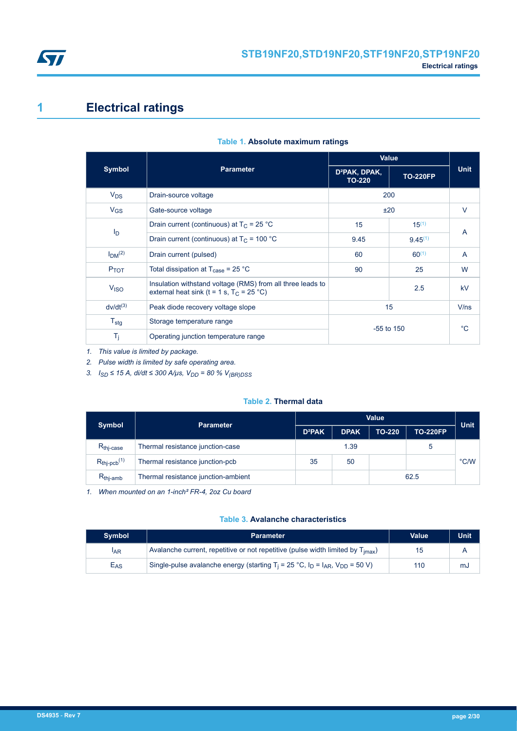<span id="page-1-0"></span>

# **1 Electrical ratings**

|                                |                                                                                                           |                                            | <b>Value</b>    |                |  |
|--------------------------------|-----------------------------------------------------------------------------------------------------------|--------------------------------------------|-----------------|----------------|--|
| <b>Symbol</b>                  | <b>Parameter</b>                                                                                          | D <sup>2</sup> PAK, DPAK,<br><b>TO-220</b> | <b>TO-220FP</b> | <b>Unit</b>    |  |
| $V_{DS}$                       | Drain-source voltage                                                                                      | 200                                        |                 |                |  |
| $V_{GS}$                       | Gate-source voltage                                                                                       | ±20                                        |                 | V              |  |
|                                | Drain current (continuous) at $T_C = 25 °C$                                                               | 15                                         | $15^{(1)}$      |                |  |
| $I_D$                          | Drain current (continuous) at $T_c$ = 100 °C                                                              | 9.45                                       | $9.45^{(1)}$    | A              |  |
| I <sub>DM</sub> <sup>(2)</sup> | Drain current (pulsed)                                                                                    | 60                                         | $60^{(1)}$      | $\overline{A}$ |  |
| $P_{TOT}$                      | Total dissipation at $T_{\text{case}}$ = 25 °C                                                            | 90                                         | 25              | W              |  |
| V <sub>ISO</sub>               | Insulation withstand voltage (RMS) from all three leads to<br>external heat sink (t = 1 s, $T_C$ = 25 °C) |                                            | 2.5             | kV             |  |
| $dv/dt^{(3)}$                  | Peak diode recovery voltage slope                                                                         | 15                                         |                 | V/ns           |  |
| $T_{\text{stg}}$               | Storage temperature range                                                                                 |                                            |                 | $^{\circ}C$    |  |
| T <sub>i</sub>                 | Operating junction temperature range                                                                      | $-55$ to 150                               |                 |                |  |

### **Table 1. Absolute maximum ratings**

*1. This value is limited by package.*

*2. Pulse width is limited by safe operating area.*

*3. ISD ≤ 15 A, di/dt ≤ 300 A/μs, VDD = 80 % V(BR)DSS*

#### **Table 2. Thermal data**

| <b>Symbol</b>               | <b>Parameter</b>                    | <b>Value</b>              |             |               |                 |               |  |
|-----------------------------|-------------------------------------|---------------------------|-------------|---------------|-----------------|---------------|--|
|                             |                                     | <b>D</b> <sup>2</sup> PAK | <b>DPAK</b> | <b>TO-220</b> | <b>TO-220FP</b> | <b>Unit</b>   |  |
| R <sub>thi-case</sub>       | Thermal resistance junction-case    | 1.39                      |             |               |                 |               |  |
| $R_{thipcb}$ <sup>(1)</sup> | Thermal resistance junction-pcb     | 35<br>50                  |             |               |                 | $\degree$ C/W |  |
| $R_{thi-amb}$               | Thermal resistance junction-ambient | 62.5                      |             |               |                 |               |  |

*1. When mounted on an 1-inch² FR-4, 2oz Cu board*

### **Table 3. Avalanche characteristics**

| <b>Symbol</b>   | <b>Parameter</b>                                                                            | Value | Unit |
|-----------------|---------------------------------------------------------------------------------------------|-------|------|
| <sup>I</sup> AR | Avalanche current, repetitive or not repetitive (pulse width limited by $T_{\text{imax}}$ ) | 15    |      |
| E <sub>AS</sub> | Single-pulse avalanche energy (starting $T_i = 25$ °C, $I_D = I_{AR}$ , $V_{DD} = 50$ V)    | 110   | mJ   |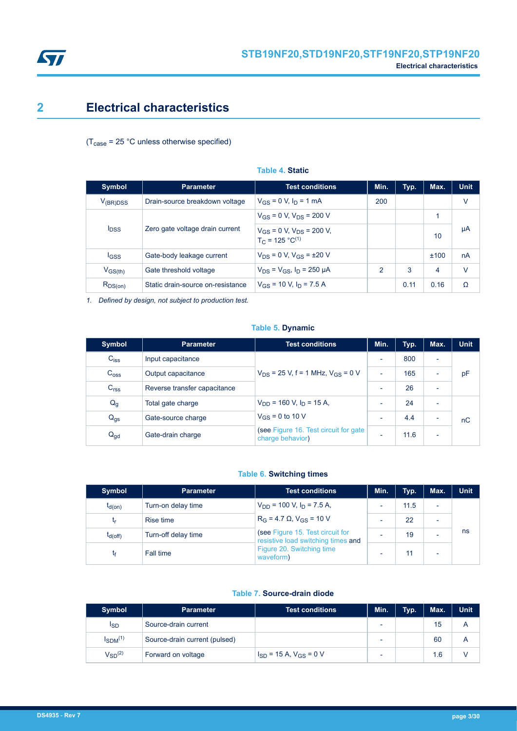<span id="page-2-0"></span>

# **2 Electrical characteristics**

### $(T_{\text{case}} = 25 \text{ °C}$  unless otherwise specified)

| <b>Symbol</b> | <b>Parameter</b>                  | <b>Test conditions</b>                                    | Min.          | Typ. | Max. | <b>Unit</b> |
|---------------|-----------------------------------|-----------------------------------------------------------|---------------|------|------|-------------|
| $V_{(BR)DSS}$ | Drain-source breakdown voltage    | $V_{GS} = 0$ V, $I_D = 1$ mA                              | 200           |      |      | v           |
|               | Zero gate voltage drain current   | $V_{GS}$ = 0 V, $V_{DS}$ = 200 V                          |               |      | 1    | μA          |
| <b>IDSS</b>   |                                   | $V_{GS}$ = 0 V, $V_{DS}$ = 200 V,<br>$T_C = 125 °C^{(1)}$ |               |      | 10   |             |
| lgss          | Gate-body leakage current         | $V_{DS} = 0 V$ , $V_{GS} = \pm 20 V$                      |               |      | ±100 | nA          |
| $V_{GS(th)}$  | Gate threshold voltage            | $V_{DS} = V_{GS}$ , $I_D = 250 \mu A$                     | $\mathcal{P}$ | 3    | 4    | $\vee$      |
| $R_{DS(on)}$  | Static drain-source on-resistance | $V_{GS}$ = 10 V, $I_D$ = 7.5 A                            |               | 0.11 | 0.16 | Ω           |

**Table 4. Static**

*1. Defined by design, not subject to production test.*

### **Table 5. Dynamic**

| <b>Symbol</b>    | <b>Parameter</b>             | <b>Test conditions</b>                                     | Min.                     | Typ. | Max.                     | <b>Unit</b> |
|------------------|------------------------------|------------------------------------------------------------|--------------------------|------|--------------------------|-------------|
| $C_{iss}$        | Input capacitance            |                                                            | $\overline{\phantom{0}}$ | 800  |                          |             |
| C <sub>oss</sub> | Output capacitance           | $V_{DS}$ = 25 V, f = 1 MHz, $V_{GS}$ = 0 V                 | $\overline{\phantom{0}}$ | 165  |                          | pF          |
| C <sub>rss</sub> | Reverse transfer capacitance |                                                            | $\overline{\phantom{0}}$ | 26   |                          |             |
| $Q_g$            | Total gate charge            | $V_{DD}$ = 160 V, $I_D$ = 15 A,                            | $\overline{\phantom{0}}$ | 24   |                          |             |
| $Q_{gs}$         | Gate-source charge           | $V_{GS}$ = 0 to 10 V                                       |                          | 4.4  |                          | nC          |
| $Q_{\text{gd}}$  | Gate-drain charge            | (see Figure 16. Test circuit for gate)<br>charge behavior) |                          | 11.6 | $\overline{\phantom{0}}$ |             |

### **Table 6. Switching times**

| <b>Symbol</b> | <b>Parameter</b>    | <b>Test conditions</b>                                                       | Min.                     | Typ. | Max.                     | Unit |
|---------------|---------------------|------------------------------------------------------------------------------|--------------------------|------|--------------------------|------|
| $t_{d(on)}$   | Turn-on delay time  | $V_{DD}$ = 100 V, $I_D$ = 7.5 A,                                             | $\overline{\phantom{0}}$ | 11.5 | $\overline{\phantom{0}}$ |      |
| <b>Lr</b>     | Rise time           | $R_G = 4.7 \Omega$ , $V_{GS} = 10 V$                                         | -                        | 22   |                          |      |
| $t_{d(off)}$  | Turn-off delay time | (see Figure 15. Test circuit for                                             | -                        | 19   |                          | ns   |
| tғ            | Fall time           | resistive load switching times and<br>Figure 20. Switching time<br>waveform) |                          | 11   |                          |      |

### **Table 7. Source-drain diode**

| <b>Symbol</b>   | <b>Parameter</b>              | <b>Test conditions</b>          | Min. | Typ. | Max. | <b>Unit</b> |
|-----------------|-------------------------------|---------------------------------|------|------|------|-------------|
| <sup>I</sup> SD | Source-drain current          |                                 |      |      | 15   | A           |
| $I_{SDM}^{(1)}$ | Source-drain current (pulsed) |                                 |      |      | 60   | A           |
| $V_{SD}^{(2)}$  | Forward on voltage            | $I_{SD}$ = 15 A, $V_{GS}$ = 0 V |      |      | 1.6  |             |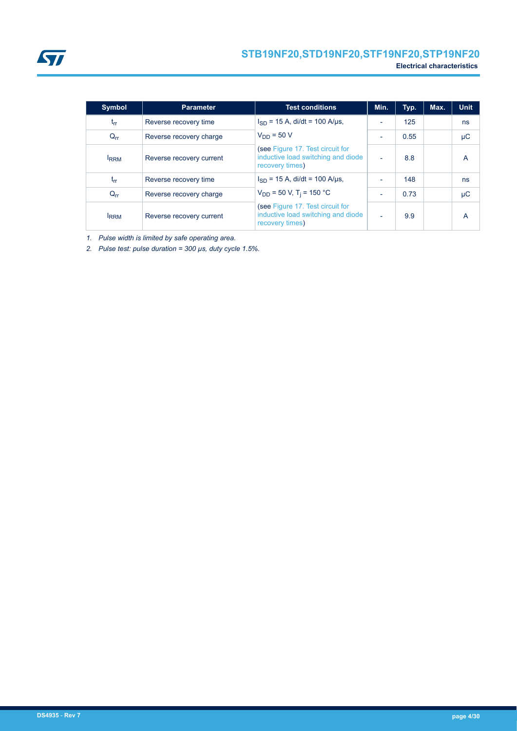<span id="page-3-0"></span>

| <b>Symbol</b> | <b>Parameter</b>         | <b>Test conditions</b>                                                                    | Min. | Typ. | Max. | <b>Unit</b> |
|---------------|--------------------------|-------------------------------------------------------------------------------------------|------|------|------|-------------|
| $t_{rr}$      | Reverse recovery time    | $I_{SD}$ = 15 A, di/dt = 100 A/µs,                                                        |      | 125  |      | ns          |
| $Q_{rr}$      | Reverse recovery charge  | $V_{DD} = 50 V$                                                                           |      | 0.55 |      | μC          |
| <b>IRRM</b>   | Reverse recovery current | (see Figure 17. Test circuit for<br>inductive load switching and diode<br>recovery times) |      | 8.8  |      | А           |
| $t_{rr}$      | Reverse recovery time    | $I_{SD}$ = 15 A, di/dt = 100 A/us,                                                        |      | 148  |      | ns          |
| $Q_{rr}$      | Reverse recovery charge  | $V_{DD}$ = 50 V, T <sub>i</sub> = 150 °C                                                  |      | 0.73 |      | μC          |
| <b>IRRM</b>   | Reverse recovery current | (see Figure 17. Test circuit for<br>inductive load switching and diode<br>recovery times) |      | 9.9  |      | А           |

*1. Pulse width is limited by safe operating area.*

*2. Pulse test: pulse duration = 300 µs, duty cycle 1.5%.*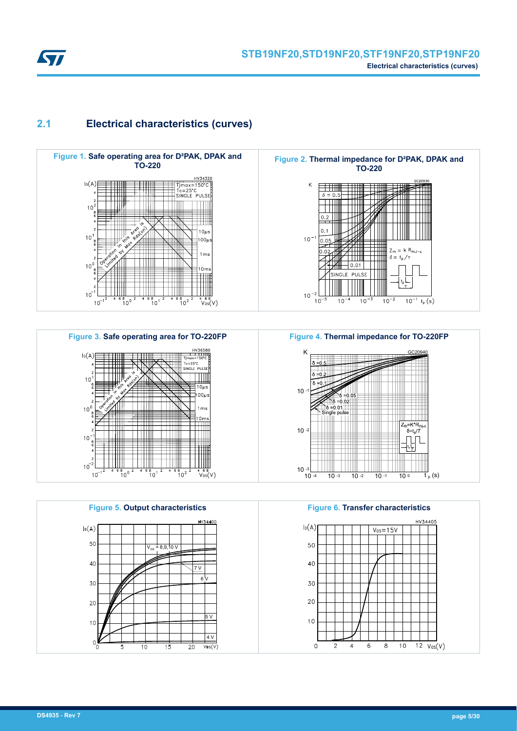<span id="page-4-0"></span>

# **2.1 Electrical characteristics (curves)**







K GC20940  $10$ ≐o o -0.02  $= 0.01$ Single pulse  $Z_{th}$ =K\*R<sub>ti</sub>  $10 - 2$  $\delta = t_p/T$  $10^{-3}$   $10^{-4}$  $\overline{t}_{p}$  (s) 10 -3 10 -2 10 -1 10 0

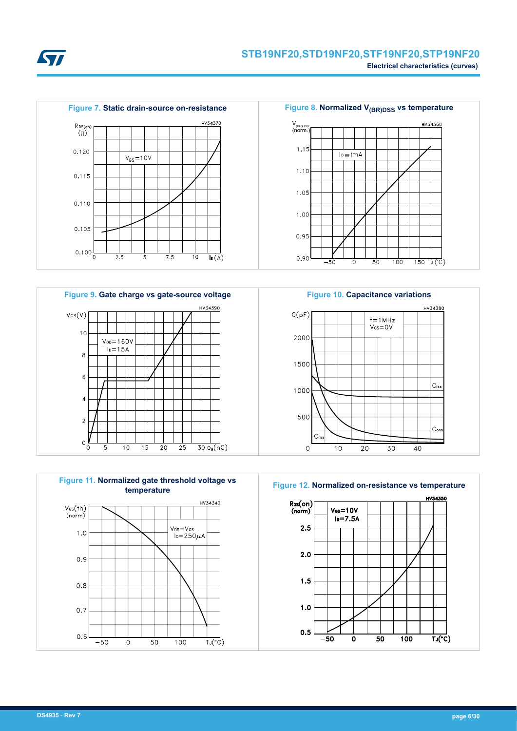













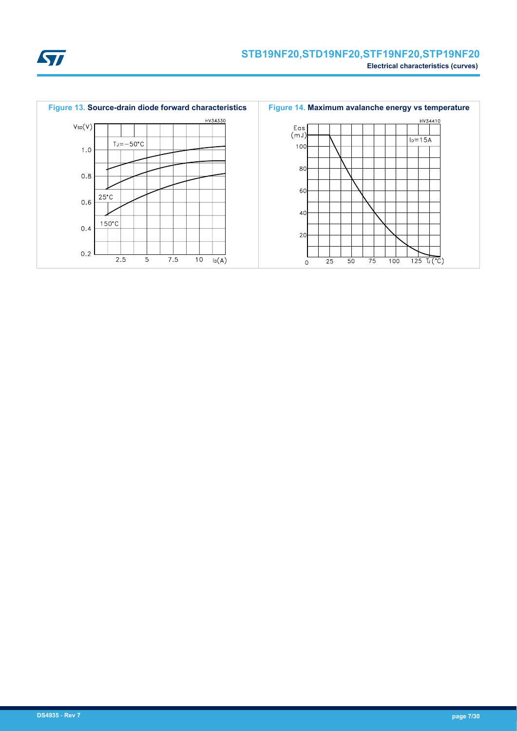

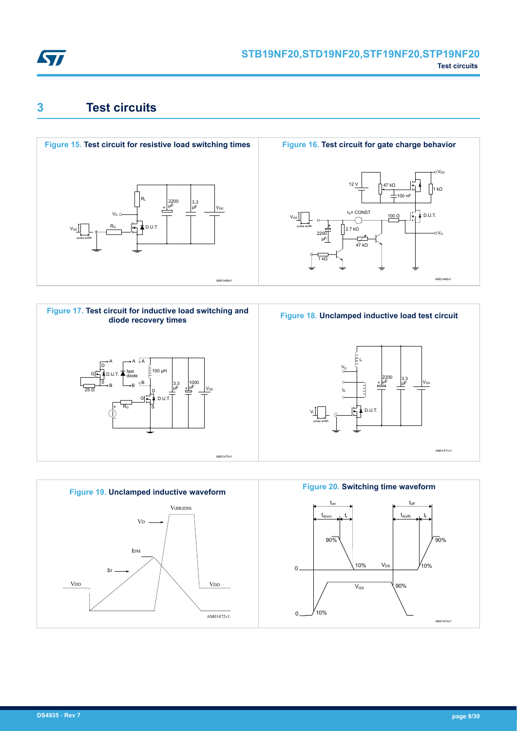<span id="page-7-0"></span>

# **3 Test circuits**







AM01469v1

 $\mathsf{V}_{\mathsf{G}}$ 

 $1 kQ$ 

oVor



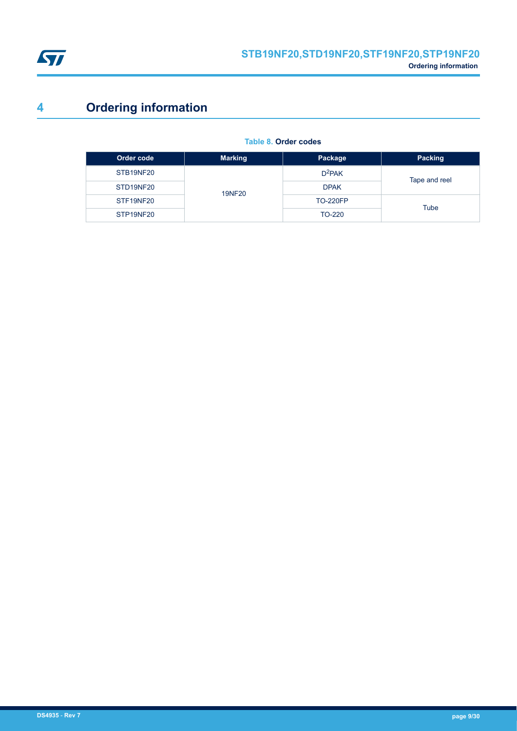<span id="page-8-0"></span>

# **4 Ordering information**

| Order code | <b>Marking</b> | Package         | Packing       |
|------------|----------------|-----------------|---------------|
| STB19NF20  |                | $D^2$ PAK       | Tape and reel |
| STD19NF20  | <b>19NF20</b>  | <b>DPAK</b>     |               |
| STF19NF20  |                | <b>TO-220FP</b> | Tube          |
| STP19NF20  |                | TO-220          |               |

#### **Table 8. Order codes**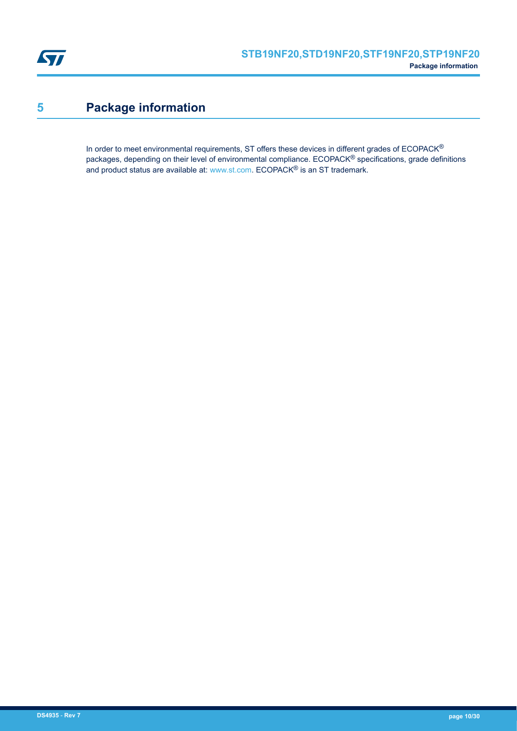<span id="page-9-0"></span>

# **5 Package information**

In order to meet environmental requirements, ST offers these devices in different grades of ECOPACK® packages, depending on their level of environmental compliance. ECOPACK® specifications, grade definitions and product status are available at: [www.st.com.](http://www.st.com) ECOPACK® is an ST trademark.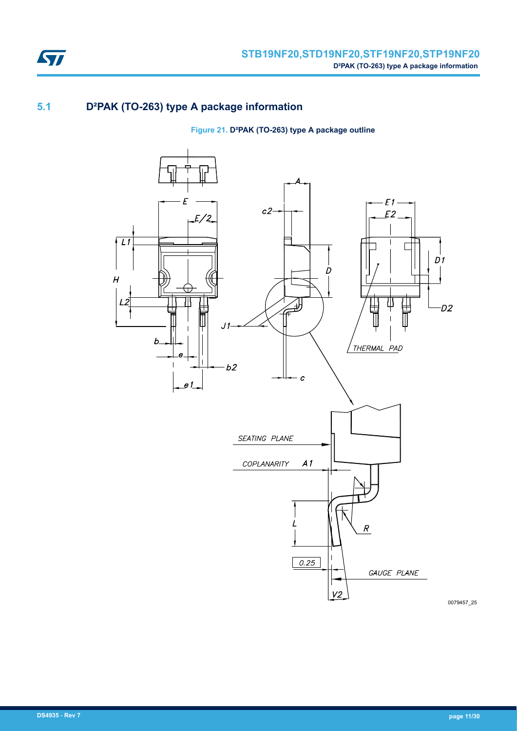

# **5.1 D²PAK (TO-263) type A package information**

## **Figure 21. D²PAK (TO-263) type A package outline**

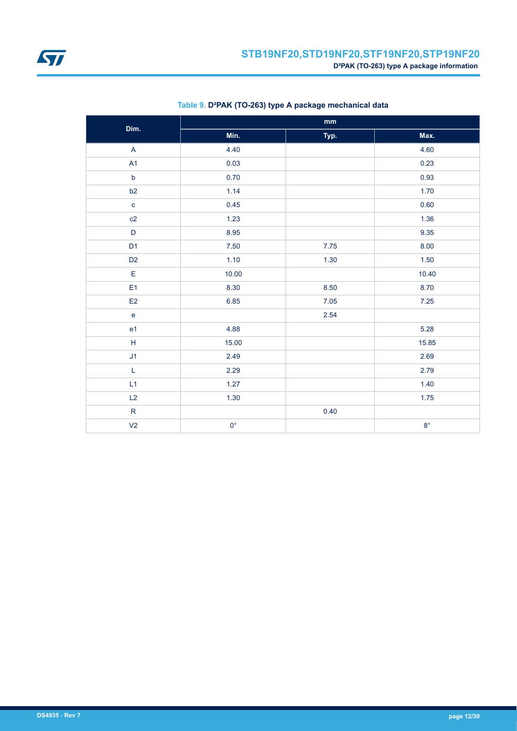

<span id="page-11-0"></span>

| Dim.                                                        | mm          |      |             |  |  |
|-------------------------------------------------------------|-------------|------|-------------|--|--|
|                                                             | Min.        | Typ. | Max.        |  |  |
| $\mathsf{A}$                                                | 4.40        |      | 4.60        |  |  |
| A1                                                          | 0.03        |      | 0.23        |  |  |
| $\mathsf b$                                                 | 0.70        |      | 0.93        |  |  |
| b2                                                          | 1.14        |      | 1.70        |  |  |
| $\mathbf c$                                                 | 0.45        |      | 0.60        |  |  |
| c2                                                          | 1.23        |      | 1.36        |  |  |
| $\mathsf D$                                                 | 8.95        |      | 9.35        |  |  |
| D <sub>1</sub>                                              | 7.50        | 7.75 | 8.00        |  |  |
| D <sub>2</sub>                                              | 1.10        | 1.30 | 1.50        |  |  |
| $\mathsf E$                                                 | 10.00       |      | 10.40       |  |  |
| E <sub>1</sub>                                              | 8.30        | 8.50 | 8.70        |  |  |
| E2                                                          | 6.85        | 7.05 | 7.25        |  |  |
| ${\bf e}$                                                   |             | 2.54 |             |  |  |
| e <sub>1</sub>                                              | 4.88        |      | 5.28        |  |  |
| $\mathsf{H}% _{\mathbb{R}}^{1}\left( \mathbb{R}^{2}\right)$ | 15.00       |      | 15.85       |  |  |
| J1                                                          | 2.49        |      | 2.69        |  |  |
| $\mathsf L$                                                 | 2.29        |      | 2.79        |  |  |
| L1                                                          | 1.27        |      | 1.40        |  |  |
| L2                                                          | 1.30        |      | 1.75        |  |  |
| ${\sf R}$                                                   |             | 0.40 |             |  |  |
| V <sub>2</sub>                                              | $0^{\circ}$ |      | $8^{\circ}$ |  |  |

### **Table 9. D²PAK (TO-263) type A package mechanical data**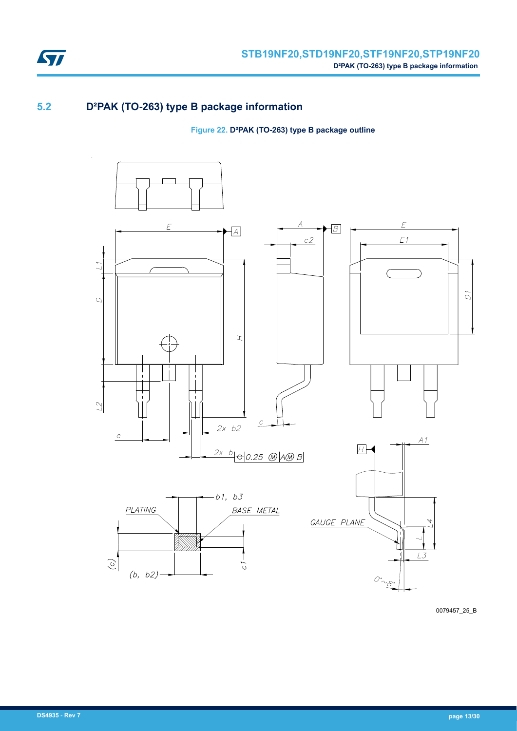

# **5.2 D²PAK (TO-263) type B package information**

**Figure 22. D²PAK (TO-263) type B package outline**



0079457\_25\_B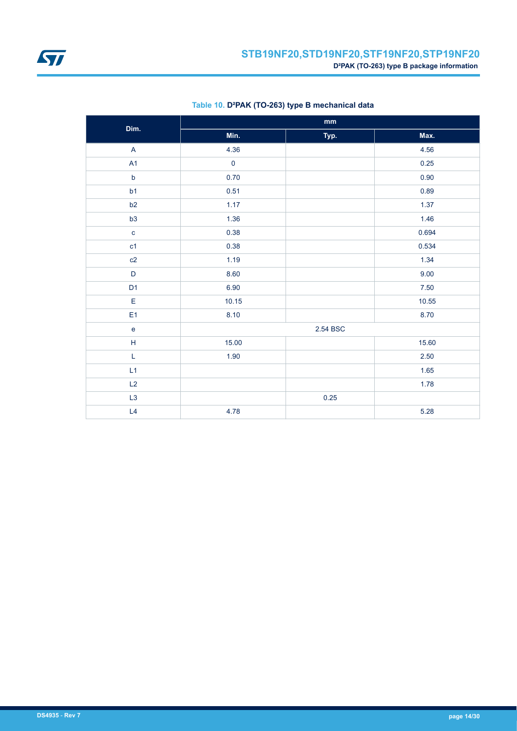

| Dim.                                       | $\mathop{\text{mm}}\nolimits$ |          |       |  |  |
|--------------------------------------------|-------------------------------|----------|-------|--|--|
|                                            | Min.                          | Typ.     | Max.  |  |  |
| A                                          | 4.36                          |          | 4.56  |  |  |
| A <sub>1</sub>                             | $\pmb{0}$                     |          | 0.25  |  |  |
| $\mathsf b$                                | 0.70                          |          | 0.90  |  |  |
| b1                                         | 0.51                          |          | 0.89  |  |  |
| b2                                         | 1.17                          |          | 1.37  |  |  |
| b3                                         | 1.36                          |          | 1.46  |  |  |
| $\mathbf{C}$                               | 0.38                          |          | 0.694 |  |  |
| c1                                         | 0.38                          |          | 0.534 |  |  |
| c2                                         | 1.19                          |          | 1.34  |  |  |
| $\mathsf{D}%$                              | 8.60                          |          | 9.00  |  |  |
| D <sub>1</sub>                             | 6.90                          |          | 7.50  |  |  |
| E                                          | 10.15                         |          | 10.55 |  |  |
| E1                                         | 8.10                          |          | 8.70  |  |  |
| $\mathbf{e}% _{0}\left( \mathbf{1}\right)$ |                               | 2.54 BSC |       |  |  |
| $\mathsf H$                                | 15.00                         |          | 15.60 |  |  |
| L                                          | 1.90                          |          | 2.50  |  |  |
| L1                                         |                               |          | 1.65  |  |  |
| L2                                         |                               |          | 1.78  |  |  |
| L3                                         |                               | 0.25     |       |  |  |
| L4                                         | 4.78                          |          | 5.28  |  |  |

### **Table 10. D²PAK (TO-263) type B mechanical data**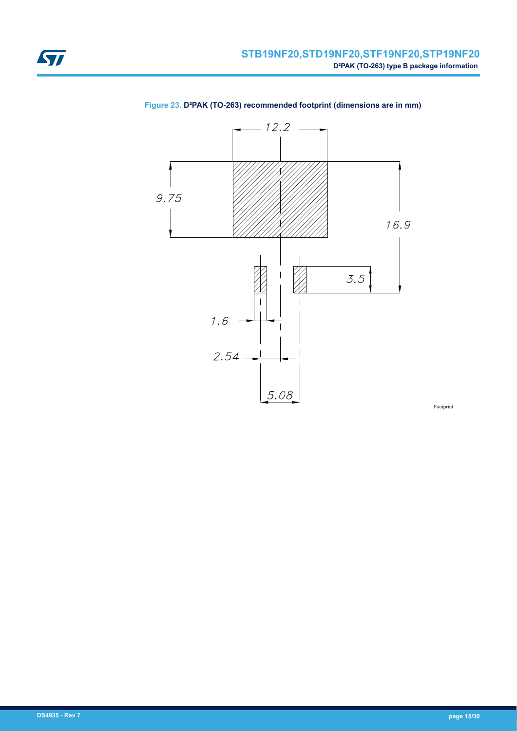

### <span id="page-14-0"></span>**Figure 23. D²PAK (TO-263) recommended footprint (dimensions are in mm)**

Footprint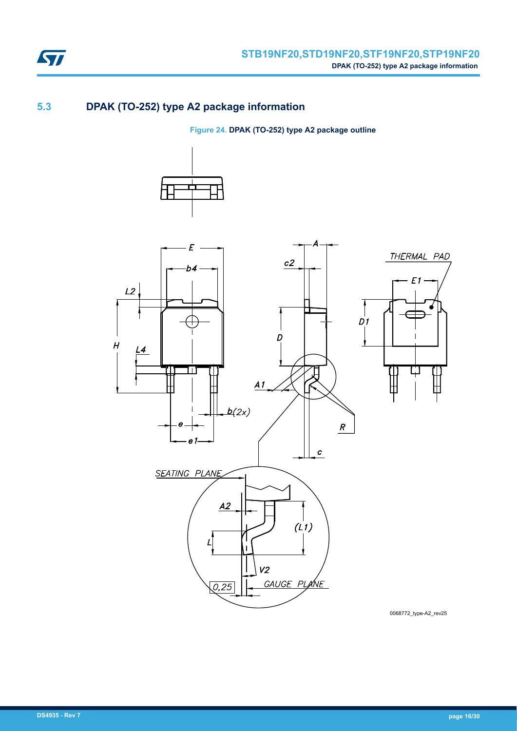

# **5.3 DPAK (TO-252) type A2 package information**

**Figure 24. DPAK (TO-252) type A2 package outline**





0068772\_type-A2\_rev25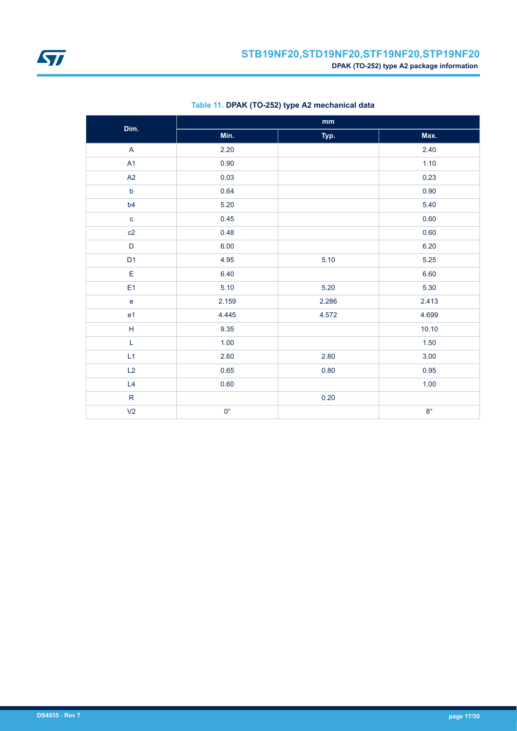<span id="page-16-0"></span>

| Dim.           | $\mathop{\text{mm}}\nolimits$ |          |             |  |  |
|----------------|-------------------------------|----------|-------------|--|--|
|                | Min.                          | Typ.     | Max.        |  |  |
| A              | 2.20                          |          | 2.40        |  |  |
| A1             | 0.90                          |          | 1.10        |  |  |
| A2             | 0.03                          |          | 0.23        |  |  |
| $\mathsf b$    | 0.64                          |          | 0.90        |  |  |
| b <sub>4</sub> | 5.20                          |          | 5.40        |  |  |
| $\mathbf c$    | 0.45                          |          | 0.60        |  |  |
| c2             | 0.48                          |          | 0.60        |  |  |
| $\mathsf D$    | 6.00                          |          | 6.20        |  |  |
| D <sub>1</sub> | 4.95                          | 5.10     | 5.25        |  |  |
| E              | 6.40                          |          | 6.60        |  |  |
| E <sub>1</sub> | 5.10                          | 5.20     | 5.30        |  |  |
| $\mathsf e$    | 2.159                         | 2.286    | 2.413       |  |  |
| e <sub>1</sub> | 4.445                         | 4.572    | 4.699       |  |  |
| H              | 9.35                          |          | 10.10       |  |  |
| L              | 1.00                          |          | $1.50$      |  |  |
| L1             | 2.60                          | 2.80     | 3.00        |  |  |
| L2             | 0.65                          | $0.80\,$ | 0.95        |  |  |
| L4             | 0.60                          |          | 1.00        |  |  |
| ${\sf R}$      |                               | 0.20     |             |  |  |
| V <sub>2</sub> | $0^{\circ}$                   |          | $8^{\circ}$ |  |  |

### **Table 11. DPAK (TO-252) type A2 mechanical data**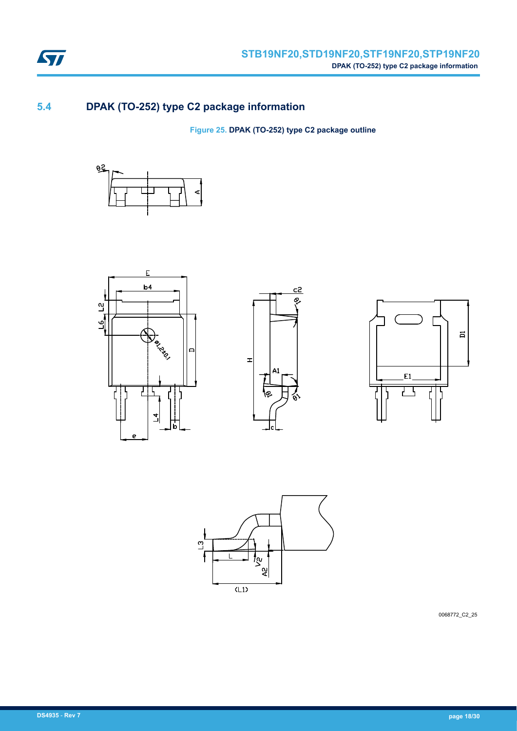

# **5.4 DPAK (TO-252) type C2 package information**

**Figure 25. DPAK (TO-252) type C2 package outline**











0068772\_C2\_25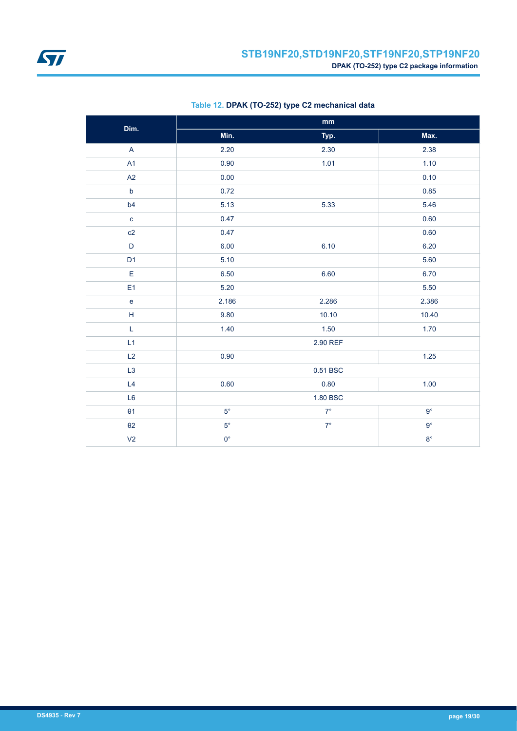

| Dim.           | $\mathop{\text{mm}}\nolimits$ |             |             |  |  |
|----------------|-------------------------------|-------------|-------------|--|--|
|                | Min.                          | Typ.        | Max.        |  |  |
| $\overline{A}$ | 2.20                          | 2.30        | 2.38        |  |  |
| A1             | 0.90                          | 1.01        | 1.10        |  |  |
| A2             | 0.00                          |             | 0.10        |  |  |
| $\mathsf b$    | 0.72                          |             | 0.85        |  |  |
| b4             | 5.13                          | 5.33        | 5.46        |  |  |
| $\mathbf{C}$   | 0.47                          |             | 0.60        |  |  |
| c2             | 0.47                          |             | 0.60        |  |  |
| $\mathsf D$    | 6.00                          | 6.10        | 6.20        |  |  |
| D <sub>1</sub> | 5.10                          |             | 5.60        |  |  |
| $\mathsf E$    | 6.50                          | 6.60        | 6.70        |  |  |
| E1             | 5.20                          |             | 5.50        |  |  |
| $\mathbf e$    | 2.186                         | 2.286       | 2.386       |  |  |
| $\mathsf H$    | 9.80                          | 10.10       | 10.40       |  |  |
| L              | 1.40                          | 1.50        | 1.70        |  |  |
| L1             |                               | 2.90 REF    |             |  |  |
| L2             | 0.90                          |             | 1.25        |  |  |
| L <sub>3</sub> |                               | 0.51 BSC    |             |  |  |
| L4             | 0.60                          | 0.80        | 1.00        |  |  |
| L <sub>6</sub> |                               | 1.80 BSC    |             |  |  |
| $\theta$ 1     | $5^{\circ}$                   | $7^{\circ}$ | $9^{\circ}$ |  |  |
| $\theta$ 2     | $5^{\circ}$                   | $7^{\circ}$ | $9^{\circ}$ |  |  |
| V <sub>2</sub> | $0^{\circ}$                   |             | $8^{\circ}$ |  |  |

### **Table 12. DPAK (TO-252) type C2 mechanical data**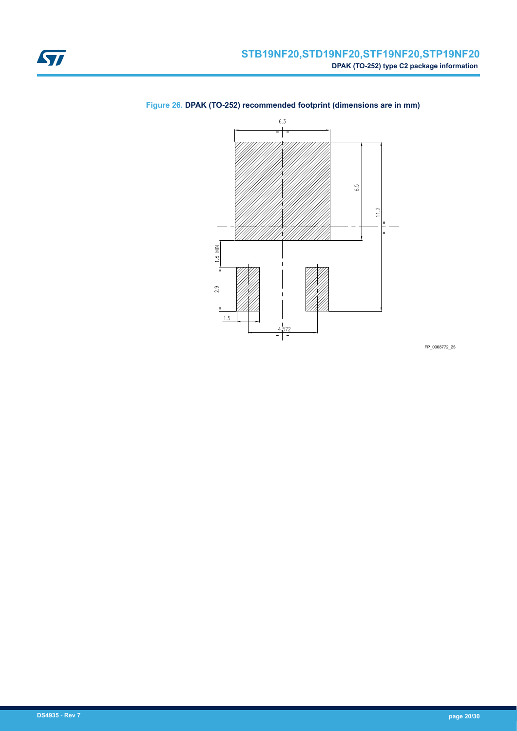

## <span id="page-19-0"></span>**Figure 26. DPAK (TO-252) recommended footprint (dimensions are in mm)**

FP\_0068772\_25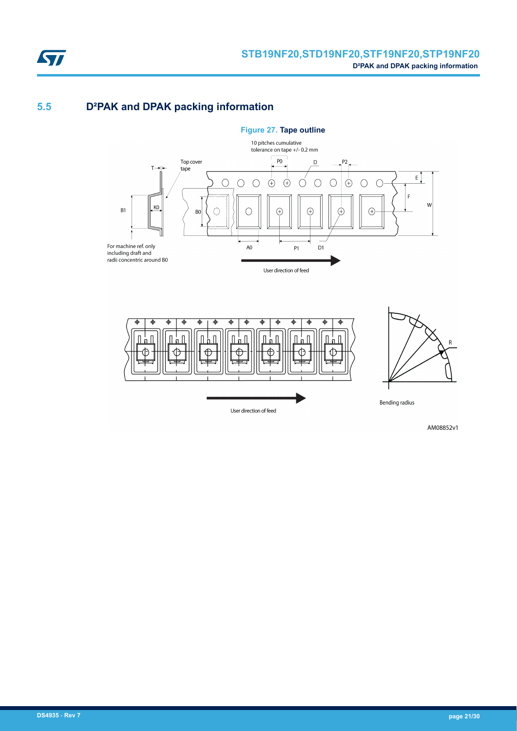

# **5.5 D²PAK and DPAK packing information**





AM08852v1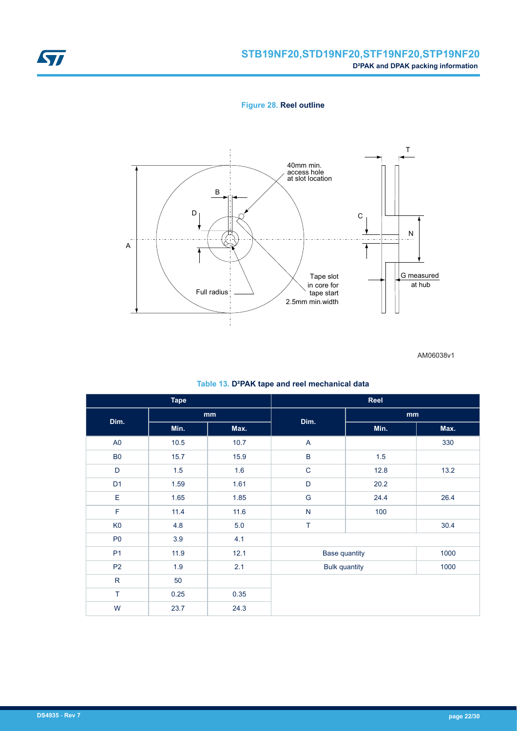

## **STB19NF20,STD19NF20,STF19NF20,STP19NF20 D²PAK and DPAK packing information**

**Figure 28. Reel outline**



AM06038v1

|  |  |  | Table 13. D <sup>2</sup> PAK tape and reel mechanical data |  |
|--|--|--|------------------------------------------------------------|--|
|--|--|--|------------------------------------------------------------|--|

| <b>Tape</b>    |                            | Reel |                      |      |      |
|----------------|----------------------------|------|----------------------|------|------|
| Dim.           | $\mathop{\rm mm}\nolimits$ |      | Dim.                 | mm   |      |
|                | Min.                       | Max. |                      | Min. | Max. |
| A <sub>0</sub> | 10.5                       | 10.7 | A                    |      | 330  |
| <b>B0</b>      | 15.7                       | 15.9 | $\sf B$              | 1.5  |      |
| D              | 1.5                        | 1.6  | $\mathsf C$          | 12.8 | 13.2 |
| D <sub>1</sub> | 1.59                       | 1.61 | $\mathsf{D}%$        | 20.2 |      |
| E              | 1.65                       | 1.85 | G                    | 24.4 | 26.4 |
| F              | 11.4                       | 11.6 | ${\sf N}$            | 100  |      |
| K <sub>0</sub> | 4.8                        | 5.0  | T                    |      | 30.4 |
| P <sub>0</sub> | 3.9                        | 4.1  |                      |      |      |
| P <sub>1</sub> | 11.9                       | 12.1 | <b>Base quantity</b> |      | 1000 |
| P <sub>2</sub> | 1.9                        | 2.1  | <b>Bulk quantity</b> |      | 1000 |
| ${\sf R}$      | 50                         |      |                      |      |      |
| T              | 0.25                       | 0.35 |                      |      |      |
| W              | 23.7                       | 24.3 |                      |      |      |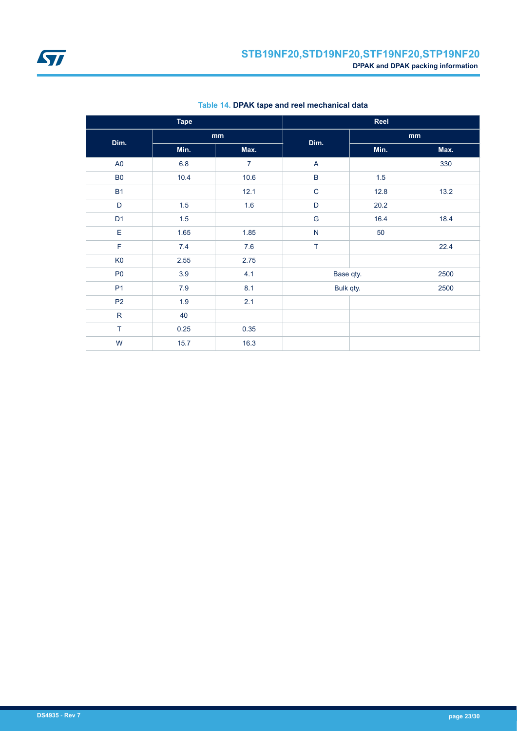<span id="page-22-0"></span>

| <b>Tape</b>    |      |                | Reel          |      |      |  |
|----------------|------|----------------|---------------|------|------|--|
| Dim.           | mm   |                | Dim.          |      | mm   |  |
|                | Min. | Max.           |               | Min. | Max. |  |
| A <sub>0</sub> | 6.8  | $\overline{7}$ | $\mathsf{A}$  |      | 330  |  |
| B <sub>0</sub> | 10.4 | 10.6           | $\sf B$       | 1.5  |      |  |
| <b>B1</b>      |      | 12.1           | $\mathbf C$   | 12.8 | 13.2 |  |
| D              | 1.5  | 1.6            | D             | 20.2 |      |  |
| D <sub>1</sub> | 1.5  |                | ${\mathsf G}$ | 16.4 | 18.4 |  |
| $\mathsf E$    | 1.65 | 1.85           | ${\sf N}$     | 50   |      |  |
| $\mathsf F$    | 7.4  | 7.6            | $\top$        |      | 22.4 |  |
| K <sub>0</sub> | 2.55 | 2.75           |               |      |      |  |
| P <sub>0</sub> | 3.9  | 4.1            | Base qty.     |      | 2500 |  |
| P <sub>1</sub> | 7.9  | 8.1            | Bulk qty.     |      | 2500 |  |
| P <sub>2</sub> | 1.9  | 2.1            |               |      |      |  |
| ${\sf R}$      | 40   |                |               |      |      |  |
| $\top$         | 0.25 | 0.35           |               |      |      |  |
| W              | 15.7 | 16.3           |               |      |      |  |

**Table 14. DPAK tape and reel mechanical data**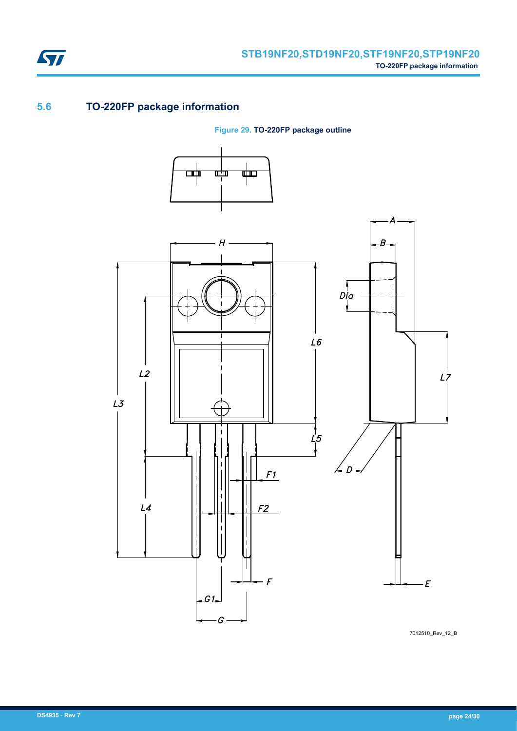

# **5.6 TO-220FP package information**

**Figure 29. TO-220FP package outline**



7012510\_Rev\_12\_B

ST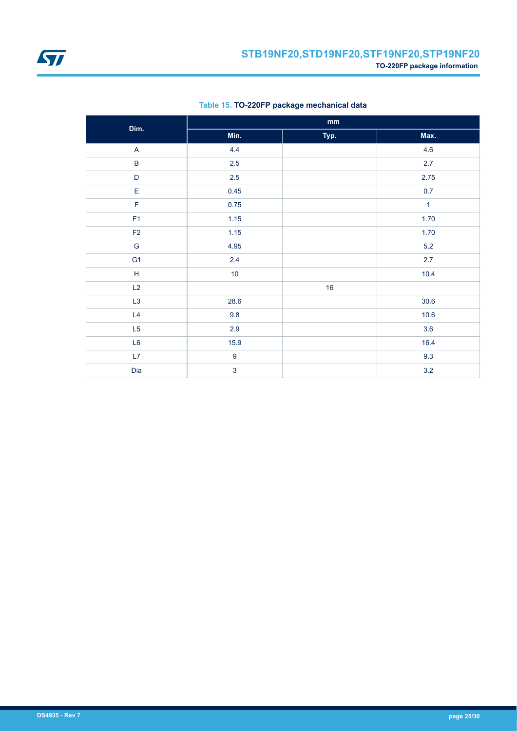![](_page_24_Picture_0.jpeg)

<span id="page-24-0"></span>![](_page_24_Picture_1.jpeg)

|                | $\mathop{\mathsf{mm}}\nolimits$ |      |              |  |  |
|----------------|---------------------------------|------|--------------|--|--|
| Dim.           | Min.                            | Typ. | Max.         |  |  |
| $\mathsf{A}$   | 4.4                             |      | 4.6          |  |  |
| $\sf B$        | $2.5\,$                         |      | $2.7\,$      |  |  |
| $\mathsf D$    | 2.5                             |      | 2.75         |  |  |
| E              | 0.45                            |      | 0.7          |  |  |
| $\mathsf F$    | 0.75                            |      | $\mathbf{1}$ |  |  |
| F <sub>1</sub> | 1.15                            |      | 1.70         |  |  |
| $\mathsf{F2}$  | 1.15                            |      | 1.70         |  |  |
| ${\mathsf G}$  | 4.95                            |      | $5.2\,$      |  |  |
| G <sub>1</sub> | 2.4                             |      | 2.7          |  |  |
| $\mathsf H$    | 10                              |      | 10.4         |  |  |
| L2             |                                 | 16   |              |  |  |
| L3             | 28.6                            |      | 30.6         |  |  |
| L4             | 9.8                             |      | 10.6         |  |  |
| L5             | $2.9\,$                         |      | 3.6          |  |  |
| L6             | 15.9                            |      | 16.4         |  |  |
| L7             | $\boldsymbol{9}$                |      | 9.3          |  |  |
| Dia            | $\mathbf{3}$                    |      | 3.2          |  |  |

### **Table 15. TO-220FP package mechanical data**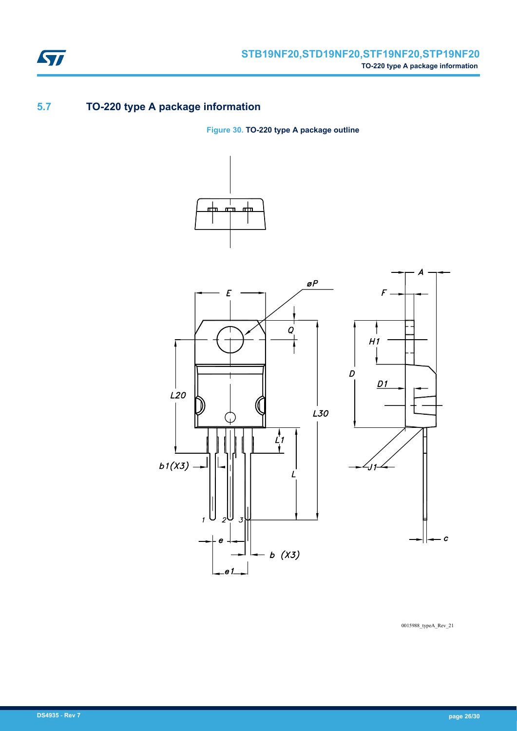![](_page_25_Picture_0.jpeg)

# **5.7 TO-220 type A package information**

**Figure 30. TO-220 type A package outline**

![](_page_25_Figure_4.jpeg)

![](_page_25_Figure_5.jpeg)

0015988\_typeA\_Rev\_21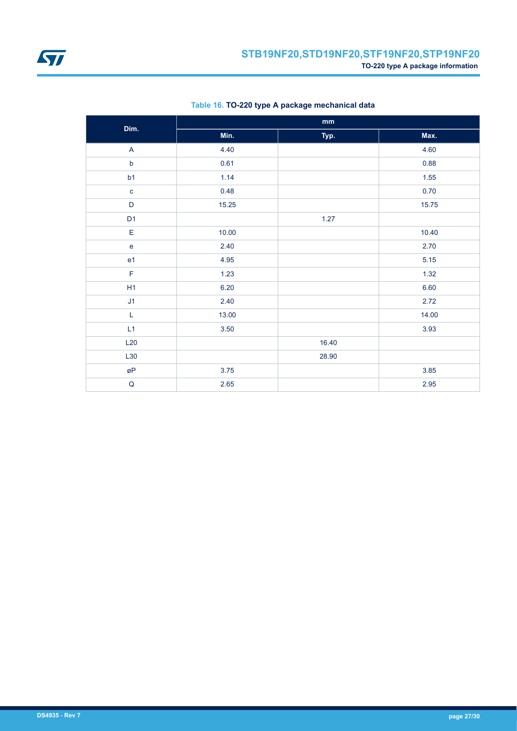![](_page_26_Picture_0.jpeg)

| Dim.                      |       | $\mathbf{mm}$ |       |
|---------------------------|-------|---------------|-------|
|                           | Min.  | Typ.          | Max.  |
| $\boldsymbol{\mathsf{A}}$ | 4.40  |               | 4.60  |
| $\mathsf b$               | 0.61  |               | 0.88  |
| b1                        | 1.14  |               | 1.55  |
| $\mathbf{C}$              | 0.48  |               | 0.70  |
| $\mathsf D$               | 15.25 |               | 15.75 |
| D <sub>1</sub>            |       | 1.27          |       |
| E                         | 10.00 |               | 10.40 |
| $\mathbf{e}$              | 2.40  |               | 2.70  |
| e <sub>1</sub>            | 4.95  |               | 5.15  |
| F                         | 1.23  |               | 1.32  |
| H1                        | 6.20  |               | 6.60  |
| J <sub>1</sub>            | 2.40  |               | 2.72  |
| L                         | 13.00 |               | 14.00 |
| L1                        | 3.50  |               | 3.93  |
| L20                       |       | 16.40         |       |
| L30                       |       | 28.90         |       |
| øΡ                        | 3.75  |               | 3.85  |
| $\sf Q$                   | 2.65  |               | 2.95  |

### **Table 16. TO-220 type A package mechanical data**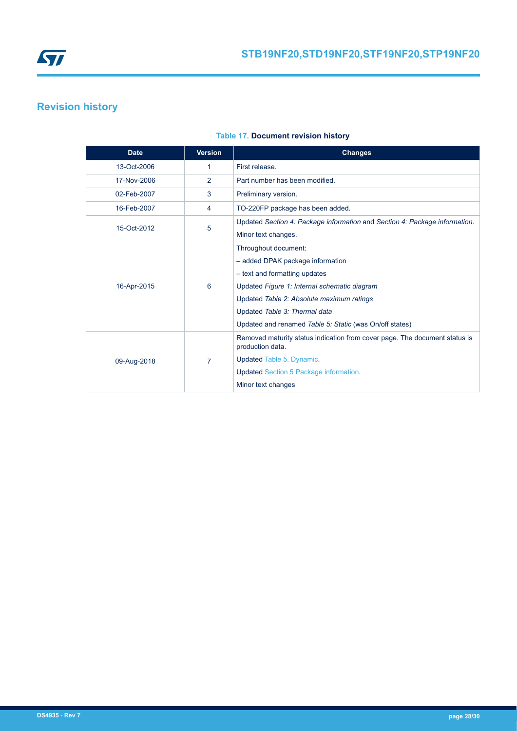<span id="page-27-0"></span>![](_page_27_Picture_0.jpeg)

# **Revision history**

| <b>Date</b> | <b>Version</b> | <b>Changes</b>                                                                                 |
|-------------|----------------|------------------------------------------------------------------------------------------------|
| 13-Oct-2006 | 1              | First release.                                                                                 |
| 17-Nov-2006 | 2              | Part number has been modified.                                                                 |
| 02-Feb-2007 | 3              | Preliminary version.                                                                           |
| 16-Feb-2007 | 4              | TO-220FP package has been added.                                                               |
| 15-Oct-2012 | 5              | Updated Section 4: Package information and Section 4: Package information.                     |
|             |                | Minor text changes.                                                                            |
|             |                | Throughout document:                                                                           |
|             | 6              | - added DPAK package information                                                               |
|             |                | - text and formatting updates                                                                  |
| 16-Apr-2015 |                | Updated Figure 1: Internal schematic diagram                                                   |
|             |                | Updated Table 2: Absolute maximum ratings                                                      |
|             |                | Updated Table 3: Thermal data                                                                  |
|             |                | Updated and renamed Table 5: Static (was On/off states)                                        |
|             |                | Removed maturity status indication from cover page. The document status is<br>production data. |
| 09-Aug-2018 | 7              | Updated Table 5. Dynamic.                                                                      |
|             |                | <b>Updated Section 5 Package information.</b>                                                  |
|             |                | Minor text changes                                                                             |

### **Table 17. Document revision history**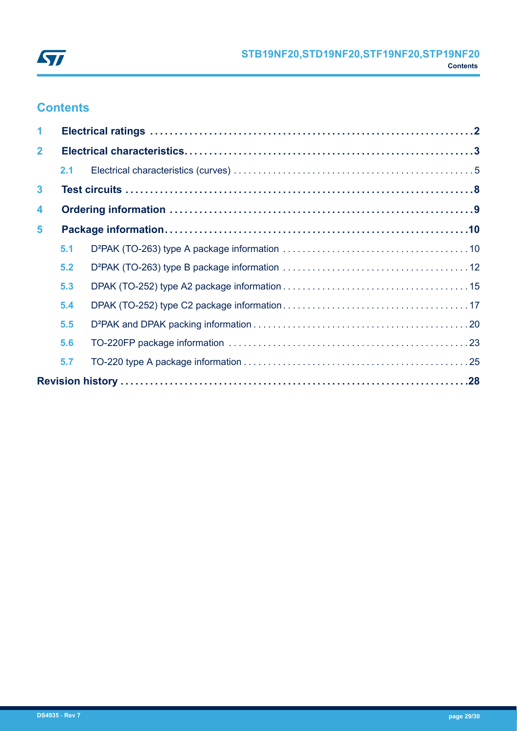![](_page_28_Picture_0.jpeg)

# **Contents**

| $\blacktriangleleft$ |     |  |  |  |  |  |
|----------------------|-----|--|--|--|--|--|
| 2 <sup>1</sup>       |     |  |  |  |  |  |
|                      | 2.1 |  |  |  |  |  |
| $\mathbf{3}$         |     |  |  |  |  |  |
| 4                    |     |  |  |  |  |  |
| 5                    |     |  |  |  |  |  |
|                      | 5.1 |  |  |  |  |  |
|                      | 5.2 |  |  |  |  |  |
|                      | 5.3 |  |  |  |  |  |
|                      | 5.4 |  |  |  |  |  |
|                      | 5.5 |  |  |  |  |  |
|                      | 5.6 |  |  |  |  |  |
|                      | 5.7 |  |  |  |  |  |
|                      |     |  |  |  |  |  |